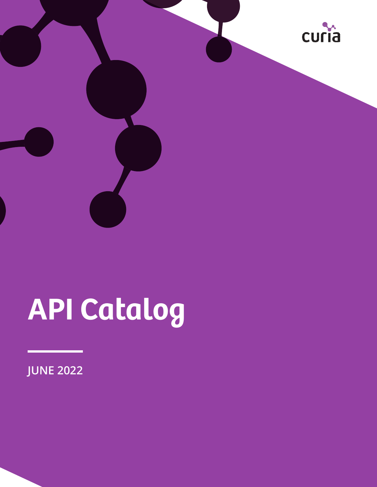

# **API Catalog**

**JUNE 2022**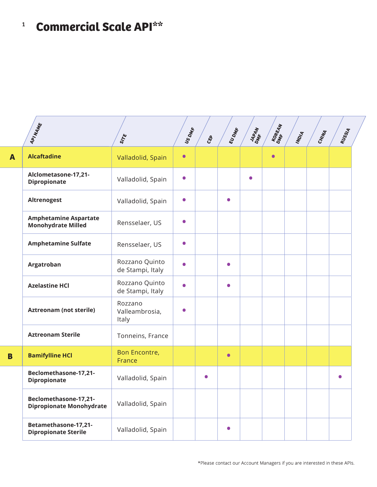## <sup>1</sup> **Commercial Scale API\*\***

|              | APINAME                                                   | SITE                               | US DMR    | $c_{\xi\rho}$ | EUDME     | JAPAN<br>DMF <sup>AN</sup> | KOREAN    | INDIA | CHINA | RUSSIA    |  |
|--------------|-----------------------------------------------------------|------------------------------------|-----------|---------------|-----------|----------------------------|-----------|-------|-------|-----------|--|
| $\mathbf{A}$ | <b>Alcaftadine</b>                                        | Valladolid, Spain                  | $\bullet$ |               |           |                            | $\bullet$ |       |       |           |  |
|              | Alclometasone-17,21-<br><b>Dipropionate</b>               | Valladolid, Spain                  | $\bullet$ |               |           | $\bullet$                  |           |       |       |           |  |
|              | <b>Altrenogest</b>                                        | Valladolid, Spain                  | $\bullet$ |               | $\bullet$ |                            |           |       |       |           |  |
|              | <b>Amphetamine Aspartate</b><br><b>Monohydrate Milled</b> | Rensselaer, US                     | $\bullet$ |               |           |                            |           |       |       |           |  |
|              | <b>Amphetamine Sulfate</b>                                | Rensselaer, US                     | $\bullet$ |               |           |                            |           |       |       |           |  |
|              | Argatroban                                                | Rozzano Quinto<br>de Stampi, Italy | $\bullet$ |               |           |                            |           |       |       |           |  |
|              | <b>Azelastine HCl</b>                                     | Rozzano Quinto<br>de Stampi, Italy | $\bullet$ |               | $\bullet$ |                            |           |       |       |           |  |
|              | <b>Aztreonam (not sterile)</b>                            | Rozzano<br>Valleambrosia,<br>Italy | $\bullet$ |               |           |                            |           |       |       |           |  |
|              | <b>Aztreonam Sterile</b>                                  | Tonneins, France                   |           |               |           |                            |           |       |       |           |  |
| B            | <b>Bamifylline HCl</b>                                    | Bon Encontre,<br>France            |           |               | $\bullet$ |                            |           |       |       |           |  |
|              | Beclomethasone-17,21-<br><b>Dipropionate</b>              | Valladolid, Spain                  |           | $\bullet$     |           |                            |           |       |       | $\bullet$ |  |
|              | Beclomethasone-17,21-<br><b>Dipropionate Monohydrate</b>  | Valladolid, Spain                  |           |               |           |                            |           |       |       |           |  |
|              | Betamethasone-17,21-<br><b>Dipropionate Sterile</b>       | Valladolid, Spain                  |           |               | $\bullet$ |                            |           |       |       |           |  |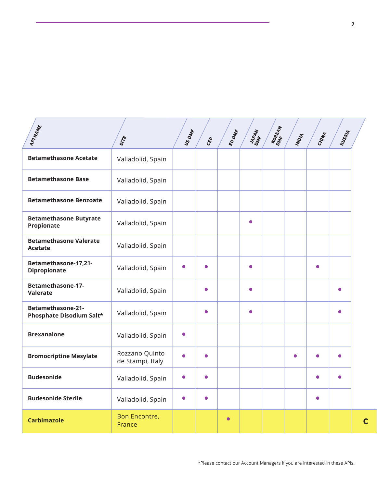| APINAME                                              | SITE                               | US DMR    | $c_{\xi\rho}$ | EUDME     | JAPAN<br>DMR <sup>AN</sup> | KOREAN<br>DNE <sup>EAN</sup> | INDIA     | CHINA     | RUSSIA    |   |
|------------------------------------------------------|------------------------------------|-----------|---------------|-----------|----------------------------|------------------------------|-----------|-----------|-----------|---|
| <b>Betamethasone Acetate</b>                         | Valladolid, Spain                  |           |               |           |                            |                              |           |           |           |   |
| <b>Betamethasone Base</b>                            | Valladolid, Spain                  |           |               |           |                            |                              |           |           |           |   |
| <b>Betamethasone Benzoate</b>                        | Valladolid, Spain                  |           |               |           |                            |                              |           |           |           |   |
| <b>Betamethasone Butyrate</b><br>Propionate          | Valladolid, Spain                  |           |               |           | $\bullet$                  |                              |           |           |           |   |
| <b>Betamethasone Valerate</b><br><b>Acetate</b>      | Valladolid, Spain                  |           |               |           |                            |                              |           |           |           |   |
| Betamethasone-17,21-<br><b>Dipropionate</b>          | Valladolid, Spain                  | $\bullet$ |               |           | $\bullet$                  |                              |           | $\bullet$ |           |   |
| <b>Betamethasone-17-</b><br><b>Valerate</b>          | Valladolid, Spain                  |           | $\bullet$     |           | $\bullet$                  |                              |           |           | $\bullet$ |   |
| <b>Betamethasone-21-</b><br>Phosphate Disodium Salt* | Valladolid, Spain                  |           | $\bullet$     |           | $\bullet$                  |                              |           |           | $\bullet$ |   |
| <b>Brexanalone</b>                                   | Valladolid, Spain                  | $\bullet$ |               |           |                            |                              |           |           |           |   |
| <b>Bromocriptine Mesylate</b>                        | Rozzano Quinto<br>de Stampi, Italy | $\bullet$ | $\bullet$     |           |                            |                              | $\bullet$ | $\bullet$ | $\bullet$ |   |
| <b>Budesonide</b>                                    | Valladolid, Spain                  | $\bullet$ | $\bullet$     |           |                            |                              |           | $\bullet$ | $\bullet$ |   |
| <b>Budesonide Sterile</b>                            | Valladolid, Spain                  | $\bullet$ | $\bullet$     |           |                            |                              |           | $\bullet$ |           |   |
| <b>Carbimazole</b>                                   | <b>Bon Encontre,</b><br>France     |           |               | $\bullet$ |                            |                              |           |           |           | C |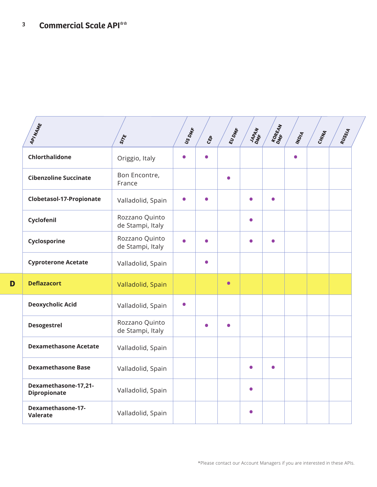**D**

| APINAME                                     | SITE                               | US DMR    | $c_{\xi\rho}$ | EUDME     | JAPAN<br>DMF <sup>AN</sup> | KOREAN    | INDIA     | CHINA | RUSSIA |
|---------------------------------------------|------------------------------------|-----------|---------------|-----------|----------------------------|-----------|-----------|-------|--------|
| Chlorthalidone                              | Origgio, Italy                     | $\bullet$ | $\bullet$     |           |                            |           | $\bullet$ |       |        |
| <b>Cibenzoline Succinate</b>                | Bon Encontre,<br>France            |           |               | $\bullet$ |                            |           |           |       |        |
| Clobetasol-17-Propionate                    | Valladolid, Spain                  | $\bullet$ | $\bullet$     |           | $\bullet$                  | $\bullet$ |           |       |        |
| Cyclofenil                                  | Rozzano Quinto<br>de Stampi, Italy |           |               |           | $\bullet$                  |           |           |       |        |
| Cyclosporine                                | Rozzano Quinto<br>de Stampi, Italy | $\bullet$ | $\bullet$     |           | $\bullet$                  | $\bullet$ |           |       |        |
| <b>Cyproterone Acetate</b>                  | Valladolid, Spain                  |           | $\bullet$     |           |                            |           |           |       |        |
| <b>Deflazacort</b>                          | Valladolid, Spain                  |           |               | $\bullet$ |                            |           |           |       |        |
| <b>Deoxycholic Acid</b>                     | Valladolid, Spain                  | $\bullet$ |               |           |                            |           |           |       |        |
| <b>Desogestrel</b>                          | Rozzano Quinto<br>de Stampi, Italy |           | $\bullet$     | $\bullet$ |                            |           |           |       |        |
| <b>Dexamethasone Acetate</b>                | Valladolid, Spain                  |           |               |           |                            |           |           |       |        |
| <b>Dexamethasone Base</b>                   | Valladolid, Spain                  |           |               |           |                            | $\bullet$ |           |       |        |
| Dexamethasone-17,21-<br><b>Dipropionate</b> | Valladolid, Spain                  |           |               |           | $\bullet$                  |           |           |       |        |
| Dexamethasone-17-<br>Valerate               | Valladolid, Spain                  |           |               |           | Ο                          |           |           |       |        |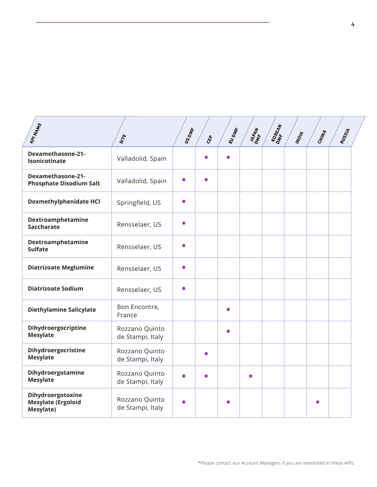| API NAME                                                    | SITE                               | US DMR    | ද්දා      | EUDME     | <b>MAPAN</b> | KOREAN<br>DNE <sup>EAN</sup> | INDIA | CHINA | RUSSIA |  |
|-------------------------------------------------------------|------------------------------------|-----------|-----------|-----------|--------------|------------------------------|-------|-------|--------|--|
| Dexamethasone-21-<br>Isonicotinate                          | Valladolid, Spain                  |           |           | Ο         |              |                              |       |       |        |  |
| <b>Dexamethasone-21-</b><br><b>Phosphate Disodium Salt</b>  | Valladolid, Spain                  | $\bullet$ | $\bullet$ |           |              |                              |       |       |        |  |
| <b>Dexmethylphenidate HCI</b>                               | Springfield, US                    | $\bullet$ |           |           |              |                              |       |       |        |  |
| Dextroamphetamine<br><b>Saccharate</b>                      | Rensselaer, US                     | $\bullet$ |           |           |              |                              |       |       |        |  |
| Dextroamphetamine<br><b>Sulfate</b>                         | Rensselaer, US                     | $\bullet$ |           |           |              |                              |       |       |        |  |
| <b>Diatrizoate Meglumine</b>                                | Rensselaer, US                     | $\bullet$ |           |           |              |                              |       |       |        |  |
| <b>Diatrizoate Sodium</b>                                   | Rensselaer, US                     | $\bullet$ |           |           |              |                              |       |       |        |  |
| <b>Diethylamine Salicylate</b>                              | Bon Encontre,<br>France            |           |           | $\bullet$ |              |                              |       |       |        |  |
| Dihydroergocriptine<br><b>Mesylate</b>                      | Rozzano Quinto<br>de Stampi, Italy |           |           | $\bullet$ |              |                              |       |       |        |  |
| Dihydroergocristine<br><b>Mesylate</b>                      | Rozzano Quinto<br>de Stampi, Italy |           |           |           |              |                              |       |       |        |  |
| Dihydroergotamine<br><b>Mesylate</b>                        | Rozzano Quinto<br>de Stampi, Italy | $\bullet$ | ◠         |           | $\bullet$    |                              |       |       |        |  |
| Dihydroergotoxine<br><b>Mesylate (Ergoloid</b><br>Mesylate) | Rozzano Quinto<br>de Stampi, Italy | $\bullet$ |           |           |              |                              |       |       |        |  |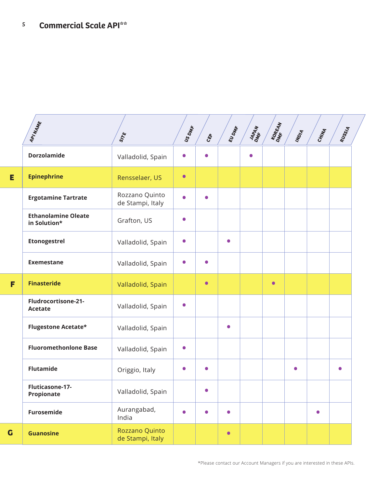|   | API NAME                                   | SITE                               | US DMR    | CEP       | EUDME     | JAPAN<br>DMR <sup>AN</sup> | KOREAN    | INDIA     | CHINA     | RUSSIA    |  |
|---|--------------------------------------------|------------------------------------|-----------|-----------|-----------|----------------------------|-----------|-----------|-----------|-----------|--|
|   | <b>Dorzolamide</b>                         | Valladolid, Spain                  | $\bullet$ | $\bullet$ |           | $\bullet$                  |           |           |           |           |  |
| Е | <b>Epinephrine</b>                         | Rensselaer, US                     | $\bullet$ |           |           |                            |           |           |           |           |  |
|   | <b>Ergotamine Tartrate</b>                 | Rozzano Quinto<br>de Stampi, Italy | $\bullet$ | $\bullet$ |           |                            |           |           |           |           |  |
|   | <b>Ethanolamine Oleate</b><br>in Solution* | Grafton, US                        | $\bullet$ |           |           |                            |           |           |           |           |  |
|   | <b>Etonogestrel</b>                        | Valladolid, Spain                  | $\bullet$ |           | $\bullet$ |                            |           |           |           |           |  |
|   | <b>Exemestane</b>                          | Valladolid, Spain                  | $\bullet$ | $\bullet$ |           |                            |           |           |           |           |  |
| F | <b>Finasteride</b>                         | Valladolid, Spain                  |           | $\bullet$ |           |                            | $\bullet$ |           |           |           |  |
|   | Fludrocortisone-21-<br><b>Acetate</b>      | Valladolid, Spain                  | $\bullet$ |           |           |                            |           |           |           |           |  |
|   | <b>Flugestone Acetate*</b>                 | Valladolid, Spain                  |           |           | $\bullet$ |                            |           |           |           |           |  |
|   | <b>Fluoromethonlone Base</b>               | Valladolid, Spain                  | $\bullet$ |           |           |                            |           |           |           |           |  |
|   | <b>Flutamide</b>                           | Origgio, Italy                     | $\bullet$ | $\bullet$ |           |                            |           | $\bullet$ |           | $\bullet$ |  |
|   | Fluticasone-17-<br>Propionate              | Valladolid, Spain                  |           | $\bullet$ |           |                            |           |           |           |           |  |
|   | Furosemide                                 | Aurangabad,<br>India               | $\bullet$ | $\bullet$ | $\bullet$ |                            |           |           | $\bullet$ |           |  |
| G | <b>Guanosine</b>                           | Rozzano Quinto<br>de Stampi, Italy |           |           | $\bullet$ |                            |           |           |           |           |  |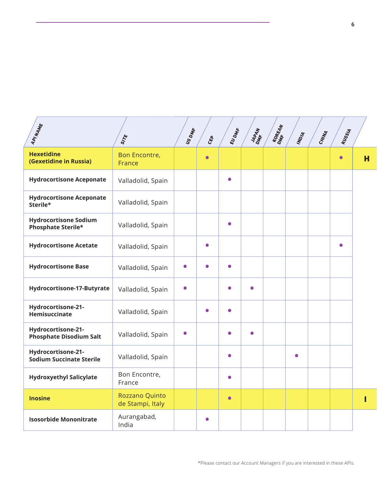| API NAME                                                  | SITE                               | US DMF    | CEP       | EUDME     | JAPAN<br>DMF | KOMEAN | INDIA     | CHINA | RUSSIA    |   |
|-----------------------------------------------------------|------------------------------------|-----------|-----------|-----------|--------------|--------|-----------|-------|-----------|---|
| <b>Hexetidine</b><br>(Gexetidine in Russia)               | Bon Encontre,<br>France            |           | $\bullet$ |           |              |        |           |       | $\bullet$ | н |
| <b>Hydrocortisone Aceponate</b>                           | Valladolid, Spain                  |           |           | $\bullet$ |              |        |           |       |           |   |
| <b>Hydrocortisone Aceponate</b><br>Sterile*               | Valladolid, Spain                  |           |           |           |              |        |           |       |           |   |
| <b>Hydrocortisone Sodium</b><br><b>Phosphate Sterile*</b> | Valladolid, Spain                  |           |           | $\bullet$ |              |        |           |       |           |   |
| <b>Hydrocortisone Acetate</b>                             | Valladolid, Spain                  |           | $\bullet$ |           |              |        |           |       | $\bullet$ |   |
| <b>Hydrocortisone Base</b>                                | Valladolid, Spain                  | $\bullet$ | $\bullet$ | $\bullet$ |              |        |           |       |           |   |
| Hydrocortisone-17-Butyrate                                | Valladolid, Spain                  | $\bullet$ |           | $\bullet$ | $\bullet$    |        |           |       |           |   |
| Hydrocortisone-21-<br>Hemisuccinate                       | Valladolid, Spain                  |           | 0         | $\bullet$ |              |        |           |       |           |   |
| Hydrocortisone-21-<br><b>Phosphate Disodium Salt</b>      | Valladolid, Spain                  | $\bullet$ |           | $\bullet$ | $\bullet$    |        |           |       |           |   |
| Hydrocortisone-21-<br><b>Sodium Succinate Sterile</b>     | Valladolid, Spain                  |           |           | $\bullet$ |              |        | $\bullet$ |       |           |   |
| <b>Hydroxyethyl Salicylate</b>                            | Bon Encontre,<br>France            |           |           | $\bullet$ |              |        |           |       |           |   |
| <b>Inosine</b>                                            | Rozzano Quinto<br>de Stampi, Italy |           |           | $\bullet$ |              |        |           |       |           |   |
| <b>Isosorbide Mononitrate</b>                             | Aurangabad,<br>India               |           | $\bullet$ |           |              |        |           |       |           |   |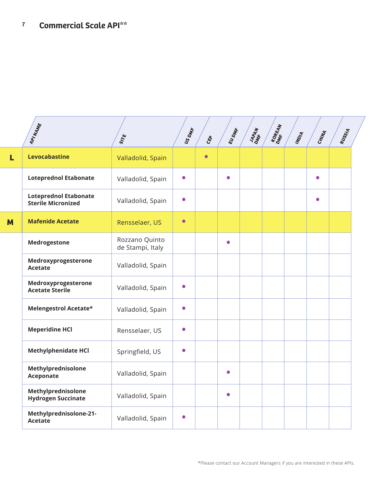|   | APINAME                                                   | SITE                               | US DMR    | CEP       | EUDME     | JAPAN<br>DMR <sup>AN</sup> | KOMEAN | INDIA | CHINA     | RUSSIA |  |
|---|-----------------------------------------------------------|------------------------------------|-----------|-----------|-----------|----------------------------|--------|-------|-----------|--------|--|
| L | Levocabastine                                             | Valladolid, Spain                  |           | $\bullet$ |           |                            |        |       |           |        |  |
|   | <b>Loteprednol Etabonate</b>                              | Valladolid, Spain                  | $\bullet$ |           | $\bullet$ |                            |        |       | $\bullet$ |        |  |
|   | <b>Loteprednol Etabonate</b><br><b>Sterile Micronized</b> | Valladolid, Spain                  | $\bullet$ |           |           |                            |        |       | $\bullet$ |        |  |
| M | <b>Mafenide Acetate</b>                                   | Rensselaer, US                     | $\bullet$ |           |           |                            |        |       |           |        |  |
|   | <b>Medrogestone</b>                                       | Rozzano Quinto<br>de Stampi, Italy |           |           | $\bullet$ |                            |        |       |           |        |  |
|   | Medroxyprogesterone<br><b>Acetate</b>                     | Valladolid, Spain                  |           |           |           |                            |        |       |           |        |  |
|   | Medroxyprogesterone<br><b>Acetate Sterile</b>             | Valladolid, Spain                  | $\bullet$ |           |           |                            |        |       |           |        |  |
|   | Melengestrol Acetate*                                     | Valladolid, Spain                  | $\bullet$ |           |           |                            |        |       |           |        |  |
|   | <b>Meperidine HCl</b>                                     | Rensselaer, US                     | $\bullet$ |           |           |                            |        |       |           |        |  |
|   | <b>Methylphenidate HCl</b>                                | Springfield, US                    | $\bullet$ |           |           |                            |        |       |           |        |  |
|   | Methylprednisolone<br><b>Aceponate</b>                    | Valladolid, Spain                  |           |           | $\bullet$ |                            |        |       |           |        |  |
|   | Methylprednisolone<br><b>Hydrogen Succinate</b>           | Valladolid, Spain                  |           |           | $\bullet$ |                            |        |       |           |        |  |
|   | Methylprednisolone-21-<br><b>Acetate</b>                  | Valladolid, Spain                  | $\bullet$ |           |           |                            |        |       |           |        |  |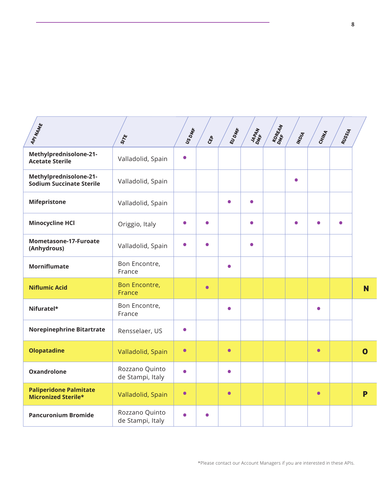| APINAME                                                     | SITE                               | US DMR    | $c_{\xi\rho}$ | EUDME     | JAPAN<br>DMF <sup>4</sup> N | KOREAN | INDIA     | CHINA     | RUSSIA    |              |
|-------------------------------------------------------------|------------------------------------|-----------|---------------|-----------|-----------------------------|--------|-----------|-----------|-----------|--------------|
| Methylprednisolone-21-<br><b>Acetate Sterile</b>            | Valladolid, Spain                  | $\bullet$ |               |           |                             |        |           |           |           |              |
| Methylprednisolone-21-<br><b>Sodium Succinate Sterile</b>   | Valladolid, Spain                  |           |               |           |                             |        | $\bullet$ |           |           |              |
| <b>Mifepristone</b>                                         | Valladolid, Spain                  |           |               | 0         | $\bullet$                   |        |           |           |           |              |
| <b>Minocycline HCl</b>                                      | Origgio, Italy                     | $\bullet$ | $\bullet$     |           | $\bullet$                   |        | $\bullet$ |           | $\bullet$ |              |
| Mometasone-17-Furoate<br>(Anhydrous)                        | Valladolid, Spain                  | $\bullet$ | $\bullet$     |           | $\bullet$                   |        |           |           |           |              |
| <b>Morniflumate</b>                                         | Bon Encontre,<br>France            |           |               | $\bullet$ |                             |        |           |           |           |              |
| <b>Niflumic Acid</b>                                        | Bon Encontre,<br>France            |           | $\bullet$     |           |                             |        |           |           |           | <b>N</b>     |
| Nifuratel*                                                  | Bon Encontre,<br>France            |           |               | $\bullet$ |                             |        |           | $\bullet$ |           |              |
| <b>Norepinephrine Bitartrate</b>                            | Rensselaer, US                     | $\bullet$ |               |           |                             |        |           |           |           |              |
| <b>Olopatadine</b>                                          | Valladolid, Spain                  | $\bullet$ |               | $\bullet$ |                             |        |           | $\bullet$ |           | $\mathbf{o}$ |
| <b>Oxandrolone</b>                                          | Rozzano Quinto<br>de Stampi, Italy | $\bullet$ |               | $\bullet$ |                             |        |           |           |           |              |
| <b>Paliperidone Palmitate</b><br><b>Micronized Sterile*</b> | Valladolid, Spain                  | $\bullet$ |               | $\bullet$ |                             |        |           | $\bullet$ |           | P            |
| <b>Pancuronium Bromide</b>                                  | Rozzano Quinto<br>de Stampi, Italy | $\bullet$ | $\bullet$     |           |                             |        |           |           |           |              |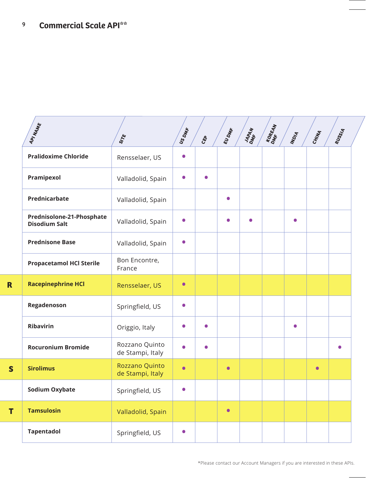|          | API NAME                                          | SITE                               | US DMR    | $c_{\xi\rho}$ | EUDME     | JAPAN<br>DMR <sup>AN</sup> | KOME EAN | INDIA     | CHINA     | <b>RUSSIA</b> |
|----------|---------------------------------------------------|------------------------------------|-----------|---------------|-----------|----------------------------|----------|-----------|-----------|---------------|
|          | <b>Pralidoxime Chloride</b>                       | Rensselaer, US                     | 0         |               |           |                            |          |           |           |               |
|          | Pramipexol                                        | Valladolid, Spain                  | $\bullet$ | $\bullet$     |           |                            |          |           |           |               |
|          | Prednicarbate                                     | Valladolid, Spain                  |           |               | $\bullet$ |                            |          |           |           |               |
|          | Prednisolone-21-Phosphate<br><b>Disodium Salt</b> | Valladolid, Spain                  | $\bullet$ |               | $\bullet$ |                            |          | $\bullet$ |           |               |
|          | <b>Prednisone Base</b>                            | Valladolid, Spain                  | $\bullet$ |               |           |                            |          |           |           |               |
|          | <b>Propacetamol HCl Sterile</b>                   | Bon Encontre,<br>France            |           |               |           |                            |          |           |           |               |
| R        | <b>Racepinephrine HCl</b>                         | Rensselaer, US                     | $\bullet$ |               |           |                            |          |           |           |               |
|          | Regadenoson                                       | Springfield, US                    | $\bullet$ |               |           |                            |          |           |           |               |
|          | <b>Ribavirin</b>                                  | Origgio, Italy                     | $\bullet$ | $\bullet$     |           |                            |          | $\bullet$ |           |               |
|          | <b>Rocuronium Bromide</b>                         | Rozzano Quinto<br>de Stampi, Italy | $\bullet$ | $\bullet$     |           |                            |          |           |           | $\bullet$     |
| <b>S</b> | <b>Sirolimus</b>                                  | Rozzano Quinto<br>de Stampi, Italy | $\bullet$ |               | $\bullet$ |                            |          |           | $\bullet$ |               |
|          | <b>Sodium Oxybate</b>                             | Springfield, US                    | $\bullet$ |               |           |                            |          |           |           |               |
| T        | <b>Tamsulosin</b>                                 | Valladolid, Spain                  |           |               | $\bullet$ |                            |          |           |           |               |
|          | <b>Tapentadol</b>                                 | Springfield, US                    | $\bullet$ |               |           |                            |          |           |           |               |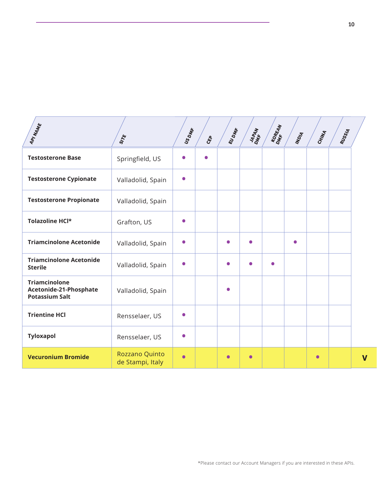| APINAME                                                                 | SITE                               | US DMfF   | $c_{\xi\rho}$ | EUDME     | JAPAN     | KOREAN    | INDIA     | CHINA     | <b>RUSSIA</b> |                         |
|-------------------------------------------------------------------------|------------------------------------|-----------|---------------|-----------|-----------|-----------|-----------|-----------|---------------|-------------------------|
| <b>Testosterone Base</b>                                                | Springfield, US                    | Ο         | $\bullet$     |           |           |           |           |           |               |                         |
| <b>Testosterone Cypionate</b>                                           | Valladolid, Spain                  | $\bullet$ |               |           |           |           |           |           |               |                         |
| <b>Testosterone Propionate</b>                                          | Valladolid, Spain                  |           |               |           |           |           |           |           |               |                         |
| Tolazoline HCl*                                                         | Grafton, US                        | $\bullet$ |               |           |           |           |           |           |               |                         |
| <b>Triamcinolone Acetonide</b>                                          | Valladolid, Spain                  | $\bullet$ |               | $\bullet$ | $\bullet$ |           | $\bullet$ |           |               |                         |
| <b>Triamcinolone Acetonide</b><br><b>Sterile</b>                        | Valladolid, Spain                  | $\bullet$ |               | $\bullet$ | $\bullet$ | $\bullet$ |           |           |               |                         |
| <b>Triamcinolone</b><br>Acetonide-21-Phosphate<br><b>Potassium Salt</b> | Valladolid, Spain                  |           |               | $\bullet$ |           |           |           |           |               |                         |
| <b>Trientine HCI</b>                                                    | Rensselaer, US                     | Ο         |               |           |           |           |           |           |               |                         |
| <b>Tyloxapol</b>                                                        | Rensselaer, US                     | $\bullet$ |               |           |           |           |           |           |               |                         |
| <b>Vecuronium Bromide</b>                                               | Rozzano Quinto<br>de Stampi, Italy | $\bullet$ |               | $\bullet$ | $\bullet$ |           |           | $\bullet$ |               | $\overline{\mathsf{v}}$ |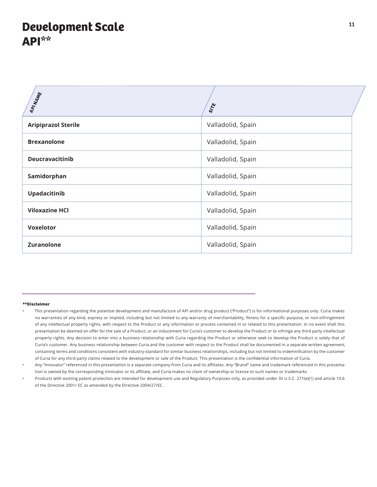## **Development Scale API\*\***

| APINANE                    | SITE              |
|----------------------------|-------------------|
| <b>Aripiprazol Sterile</b> | Valladolid, Spain |
| <b>Brexanolone</b>         | Valladolid, Spain |
| <b>Deucravacitinib</b>     | Valladolid, Spain |
| Samidorphan                | Valladolid, Spain |
| Upadacitinib               | Valladolid, Spain |
| <b>Viloxazine HCI</b>      | Valladolid, Spain |
| <b>Voxelotor</b>           | Valladolid, Spain |
| <b>Zuranolone</b>          | Valladolid, Spain |

#### **\*\*Disclaimer**

- This presentation regarding the potential development and manufacture of API and/or drug product ("Product") is for informational purposes only. Curia makes no warranties of any kind, express or implied, including but not limited to any warranty of merchantability, fitness for a specific purpose, or non-infringement of any intellectual property rights, with respect to the Product or any information or process contained in or related to this presentation. In no event shall this presentation be deemed an offer for the sale of a Product, or an inducement for Curia's customer to develop the Product or to infringe any third party intellectual property rights. Any decision to enter into a business relationship with Curia regarding the Product or otherwise seek to develop the Product is solely that of Curia's customer. Any business relationship between Curia and the customer with respect to the Product shall be documented in a separate written agreement, containing terms and conditions consistent with industry-standard for similar business relationships, including but not limited to indemnification by the customer of Curia for any third party claims related to the development or sale of the Product. This presentation is the confidential information of Curia.
- Any "Innovator" referenced in this presentation is a separate company from Curia and its affiliates. Any "Brand" name and trademark referenced in this presentation is owned by the corresponding Innovator or its affiliate, and Curia makes no claim of ownership or license to such names or trademarks
- Products with existing patent protection are intended for development use and Regulatory Purposes only, as provided under 35 U.S.C. 271(e)(1) and article 10.6 of the Directive 2001/ EC as amended by the Directive 2004/27/EC.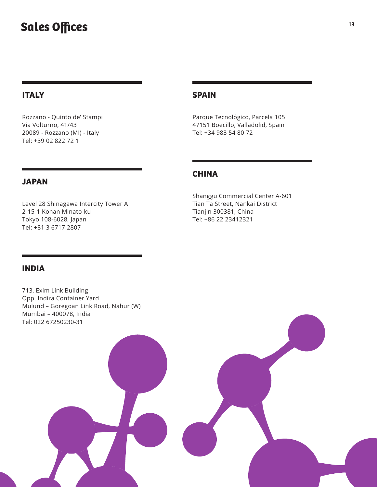## **Sales Offices**

#### **ITALY**

Rozzano - Quinto de' Stampi Via Volturno, 41/43 20089 - Rozzano (MI) - Italy Tel: +39 02 822 72 1

#### **SPAIN**

Parque Tecnológico, Parcela 105 47151 Boecillo, Valladolid, Spain Tel: +34 983 54 80 72

#### **CHINA**

Shanggu Commercial Center A-601 Tian Ta Street, Nankai District Tianjin 300381, China Tel: +86 22 23412321

### **JAPAN**

Level 28 Shinagawa Intercity Tower A 2-15-1 Konan Minato-ku Tokyo 108-6028, Japan Tel: +81 3 6717 2807

#### **INDIA**

713, Exim Link Building Opp. Indira Container Yard Mulund – Goregoan Link Road, Nahur (W) Mumbai – 400078, India Tel: 022 67250230-31